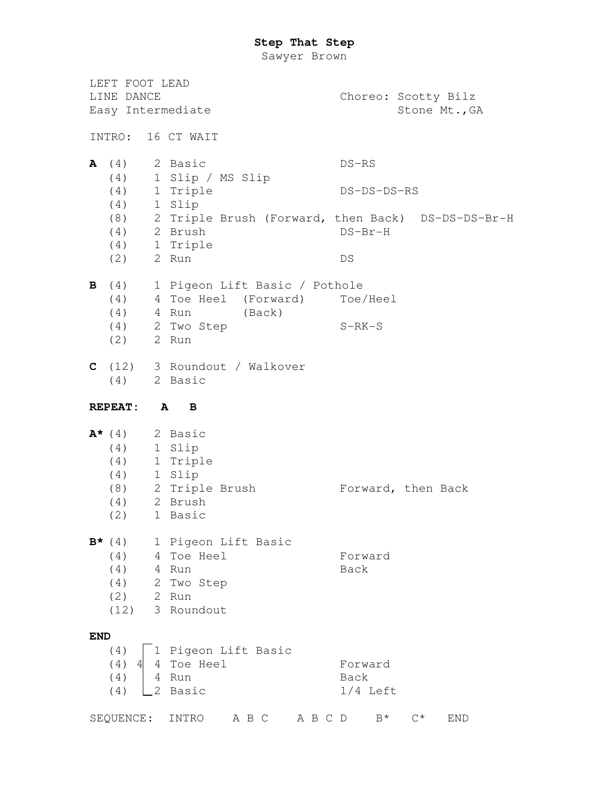Sawyer Brown

LEFT FOOT LEAD LINE DANCE Choreo: Scotty Bilz Easy Intermediate Stone Mt., GA INTRO: 16 CT WAIT **A** (4) 2 Basic DS–RS (4) 1 Slip / MS Slip (4) 1 Triple DS–DS–DS–RS (4) 1 Slip (8) 2 Triple Brush (Forward, then Back) DS–DS–DS–Br-H (4) 2 Brush DS–Br-H (4) 1 Triple (2) 2 Run DS **B** (4) 1 Pigeon Lift Basic / Pothole (4) 4 Toe Heel (Forward) Toe/Heel (4) 4 Run (Back) (4) 2 Two Step S-RK-S (2) 2 Run **C** (12) 3 Roundout / Walkover (4) 2 Basic **REPEAT: A B A\*** (4) 2 Basic (4) 1 Slip (4) 1 Triple (4) 1 Slip (8) 2 Triple Brush Forward, then Back (4) 2 Brush (2) 1 Basic **B\*** (4) 1 Pigeon Lift Basic (4) 4 Toe Heel Forward (4) 4 Run Back (4) 2 Two Step (2) 2 Run (12) 3 Roundout **END**  $(4)$   $\boxed{1}$  Pigeon Lift Basic (4) 4 4 Toe Heel Forward (4) 4 Run Back (4)  $\angle$  Basic 1/4 Left SEQUENCE: INTRO A B C A B C D B\* C\* END